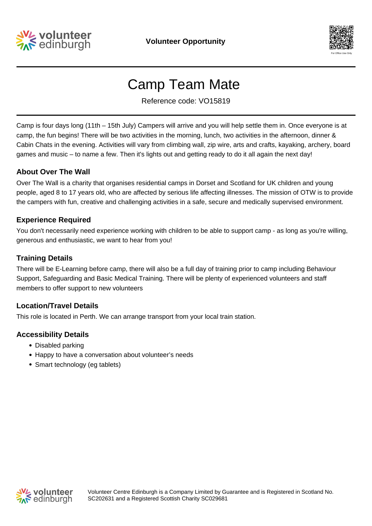



# Camp Team Mate

Reference code: VO15819

Camp is four days long (11th – 15th July) Campers will arrive and you will help settle them in. Once everyone is at camp, the fun begins! There will be two activities in the morning, lunch, two activities in the afternoon, dinner & Cabin Chats in the evening. Activities will vary from climbing wall, zip wire, arts and crafts, kayaking, archery, board games and music – to name a few. Then it's lights out and getting ready to do it all again the next day!

# **About Over The Wall**

Over The Wall is a charity that organises residential camps in Dorset and Scotland for UK children and young people, aged 8 to 17 years old, who are affected by serious life affecting illnesses. The mission of OTW is to provide the campers with fun, creative and challenging activities in a safe, secure and medically supervised environment.

#### **Experience Required**

You don't necessarily need experience working with children to be able to support camp - as long as you're willing, generous and enthusiastic, we want to hear from you!

#### **Training Details**

There will be E-Learning before camp, there will also be a full day of training prior to camp including Behaviour Support, Safeguarding and Basic Medical Training. There will be plenty of experienced volunteers and staff members to offer support to new volunteers

#### **Location/Travel Details**

This role is located in Perth. We can arrange transport from your local train station.

# **Accessibility Details**

- Disabled parking
- Happy to have a conversation about volunteer's needs
- Smart technology (eg tablets)